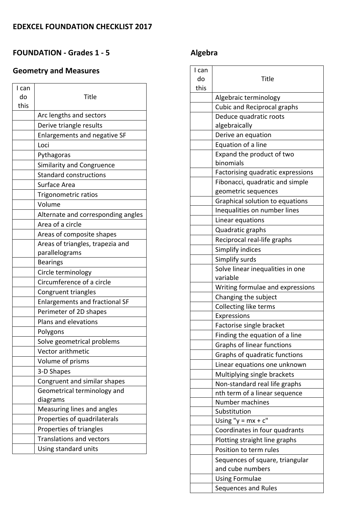### **FOUNDATION ‐ Grades 1 ‐ 5**

## **Geometry and Measures**

| do<br>Title<br>this<br>Arc lengths and sectors<br>Derive triangle results<br>Enlargements and negative SF<br>Loci<br>Pythagoras<br><b>Similarity and Congruence</b><br><b>Standard constructions</b><br>Surface Area<br>Trigonometric ratios<br>Volume<br>Alternate and corresponding angles<br>Area of a circle<br>Areas of composite shapes<br>Areas of triangles, trapezia and<br>parallelograms<br><b>Bearings</b><br>Circle terminology<br>Circumference of a circle<br>Congruent triangles<br><b>Enlargements and fractional SF</b><br>Perimeter of 2D shapes<br>Plans and elevations<br>Polygons<br>Solve geometrical problems<br>Vector arithmetic<br>Volume of prisms<br>3-D Shapes<br>Congruent and similar shapes<br>Geometrical terminology and<br>diagrams<br>Measuring lines and angles<br>Properties of quadrilaterals<br>Properties of triangles<br><b>Translations and vectors</b><br>Using standard units | I can |  |
|-----------------------------------------------------------------------------------------------------------------------------------------------------------------------------------------------------------------------------------------------------------------------------------------------------------------------------------------------------------------------------------------------------------------------------------------------------------------------------------------------------------------------------------------------------------------------------------------------------------------------------------------------------------------------------------------------------------------------------------------------------------------------------------------------------------------------------------------------------------------------------------------------------------------------------|-------|--|
|                                                                                                                                                                                                                                                                                                                                                                                                                                                                                                                                                                                                                                                                                                                                                                                                                                                                                                                             |       |  |
|                                                                                                                                                                                                                                                                                                                                                                                                                                                                                                                                                                                                                                                                                                                                                                                                                                                                                                                             |       |  |
|                                                                                                                                                                                                                                                                                                                                                                                                                                                                                                                                                                                                                                                                                                                                                                                                                                                                                                                             |       |  |
|                                                                                                                                                                                                                                                                                                                                                                                                                                                                                                                                                                                                                                                                                                                                                                                                                                                                                                                             |       |  |
|                                                                                                                                                                                                                                                                                                                                                                                                                                                                                                                                                                                                                                                                                                                                                                                                                                                                                                                             |       |  |
|                                                                                                                                                                                                                                                                                                                                                                                                                                                                                                                                                                                                                                                                                                                                                                                                                                                                                                                             |       |  |
|                                                                                                                                                                                                                                                                                                                                                                                                                                                                                                                                                                                                                                                                                                                                                                                                                                                                                                                             |       |  |
|                                                                                                                                                                                                                                                                                                                                                                                                                                                                                                                                                                                                                                                                                                                                                                                                                                                                                                                             |       |  |
|                                                                                                                                                                                                                                                                                                                                                                                                                                                                                                                                                                                                                                                                                                                                                                                                                                                                                                                             |       |  |
|                                                                                                                                                                                                                                                                                                                                                                                                                                                                                                                                                                                                                                                                                                                                                                                                                                                                                                                             |       |  |
|                                                                                                                                                                                                                                                                                                                                                                                                                                                                                                                                                                                                                                                                                                                                                                                                                                                                                                                             |       |  |
|                                                                                                                                                                                                                                                                                                                                                                                                                                                                                                                                                                                                                                                                                                                                                                                                                                                                                                                             |       |  |
|                                                                                                                                                                                                                                                                                                                                                                                                                                                                                                                                                                                                                                                                                                                                                                                                                                                                                                                             |       |  |
|                                                                                                                                                                                                                                                                                                                                                                                                                                                                                                                                                                                                                                                                                                                                                                                                                                                                                                                             |       |  |
|                                                                                                                                                                                                                                                                                                                                                                                                                                                                                                                                                                                                                                                                                                                                                                                                                                                                                                                             |       |  |
|                                                                                                                                                                                                                                                                                                                                                                                                                                                                                                                                                                                                                                                                                                                                                                                                                                                                                                                             |       |  |
|                                                                                                                                                                                                                                                                                                                                                                                                                                                                                                                                                                                                                                                                                                                                                                                                                                                                                                                             |       |  |
|                                                                                                                                                                                                                                                                                                                                                                                                                                                                                                                                                                                                                                                                                                                                                                                                                                                                                                                             |       |  |
|                                                                                                                                                                                                                                                                                                                                                                                                                                                                                                                                                                                                                                                                                                                                                                                                                                                                                                                             |       |  |
|                                                                                                                                                                                                                                                                                                                                                                                                                                                                                                                                                                                                                                                                                                                                                                                                                                                                                                                             |       |  |
|                                                                                                                                                                                                                                                                                                                                                                                                                                                                                                                                                                                                                                                                                                                                                                                                                                                                                                                             |       |  |
|                                                                                                                                                                                                                                                                                                                                                                                                                                                                                                                                                                                                                                                                                                                                                                                                                                                                                                                             |       |  |
|                                                                                                                                                                                                                                                                                                                                                                                                                                                                                                                                                                                                                                                                                                                                                                                                                                                                                                                             |       |  |
|                                                                                                                                                                                                                                                                                                                                                                                                                                                                                                                                                                                                                                                                                                                                                                                                                                                                                                                             |       |  |
|                                                                                                                                                                                                                                                                                                                                                                                                                                                                                                                                                                                                                                                                                                                                                                                                                                                                                                                             |       |  |
|                                                                                                                                                                                                                                                                                                                                                                                                                                                                                                                                                                                                                                                                                                                                                                                                                                                                                                                             |       |  |
|                                                                                                                                                                                                                                                                                                                                                                                                                                                                                                                                                                                                                                                                                                                                                                                                                                                                                                                             |       |  |
|                                                                                                                                                                                                                                                                                                                                                                                                                                                                                                                                                                                                                                                                                                                                                                                                                                                                                                                             |       |  |
|                                                                                                                                                                                                                                                                                                                                                                                                                                                                                                                                                                                                                                                                                                                                                                                                                                                                                                                             |       |  |
|                                                                                                                                                                                                                                                                                                                                                                                                                                                                                                                                                                                                                                                                                                                                                                                                                                                                                                                             |       |  |
|                                                                                                                                                                                                                                                                                                                                                                                                                                                                                                                                                                                                                                                                                                                                                                                                                                                                                                                             |       |  |
|                                                                                                                                                                                                                                                                                                                                                                                                                                                                                                                                                                                                                                                                                                                                                                                                                                                                                                                             |       |  |
|                                                                                                                                                                                                                                                                                                                                                                                                                                                                                                                                                                                                                                                                                                                                                                                                                                                                                                                             |       |  |
|                                                                                                                                                                                                                                                                                                                                                                                                                                                                                                                                                                                                                                                                                                                                                                                                                                                                                                                             |       |  |
|                                                                                                                                                                                                                                                                                                                                                                                                                                                                                                                                                                                                                                                                                                                                                                                                                                                                                                                             |       |  |
|                                                                                                                                                                                                                                                                                                                                                                                                                                                                                                                                                                                                                                                                                                                                                                                                                                                                                                                             |       |  |
|                                                                                                                                                                                                                                                                                                                                                                                                                                                                                                                                                                                                                                                                                                                                                                                                                                                                                                                             |       |  |

## **Algebra**

| I can |                                    |
|-------|------------------------------------|
| do    | Title                              |
| this  |                                    |
|       | Algebraic terminology              |
|       | <b>Cubic and Reciprocal graphs</b> |
|       | Deduce quadratic roots             |
|       | algebraically                      |
|       | Derive an equation                 |
|       | Equation of a line                 |
|       | Expand the product of two          |
|       | binomials                          |
|       | Factorising quadratic expressions  |
|       | Fibonacci, quadratic and simple    |
|       | geometric sequences                |
|       | Graphical solution to equations    |
|       | Inequalities on number lines       |
|       | Linear equations                   |
|       | Quadratic graphs                   |
|       | Reciprocal real-life graphs        |
|       | Simplify indices                   |
|       | Simplify surds                     |
|       | Solve linear inequalities in one   |
|       | variable                           |
|       | Writing formulae and expressions   |
|       | Changing the subject               |
|       | Collecting like terms              |
|       | Expressions                        |
|       | Factorise single bracket           |
|       | Finding the equation of a line     |
|       | Graphs of linear functions         |
|       | Graphs of quadratic functions      |
|       | Linear equations one unknown       |
|       | Multiplying single brackets        |
|       | Non-standard real life graphs      |
|       | nth term of a linear sequence      |
|       | Number machines                    |
|       | Substitution                       |
|       | Using " $y = mx + c$ "             |
|       | Coordinates in four quadrants      |
|       | Plotting straight line graphs      |
|       | Position to term rules             |
|       | Sequences of square, triangular    |
|       | and cube numbers                   |
|       | <b>Using Formulae</b>              |
|       | Sequences and Rules                |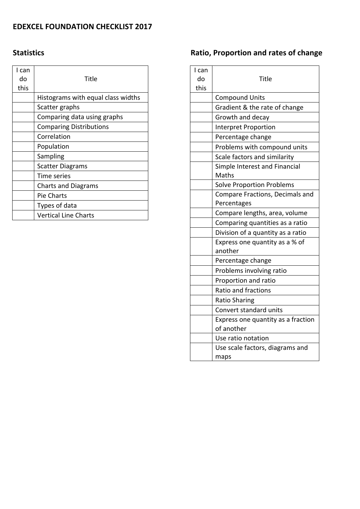### **EDEXCEL FOUNDATION CHECKLIST 2017**

### **Statistics**

| I can<br>do<br>this | Title                              |
|---------------------|------------------------------------|
|                     | Histograms with equal class widths |
|                     | Scatter graphs                     |
|                     | Comparing data using graphs        |
|                     | <b>Comparing Distributions</b>     |
|                     | Correlation                        |
|                     | Population                         |
|                     | Sampling                           |
|                     | <b>Scatter Diagrams</b>            |
|                     | Time series                        |
|                     | <b>Charts and Diagrams</b>         |
|                     | <b>Pie Charts</b>                  |
|                     | Types of data                      |
|                     | <b>Vertical Line Charts</b>        |

# **Ratio, Proportion and rates of change**

| I can<br>do<br>this | Title                                          |
|---------------------|------------------------------------------------|
|                     | <b>Compound Units</b>                          |
|                     | Gradient & the rate of change                  |
|                     | Growth and decay                               |
|                     | <b>Interpret Proportion</b>                    |
|                     | Percentage change                              |
|                     | Problems with compound units                   |
|                     | Scale factors and similarity                   |
|                     | Simple Interest and Financial<br>Maths         |
|                     | <b>Solve Proportion Problems</b>               |
|                     | Compare Fractions, Decimals and<br>Percentages |
|                     | Compare lengths, area, volume                  |
|                     | Comparing quantities as a ratio                |
|                     | Division of a quantity as a ratio              |
|                     | Express one quantity as a % of                 |
|                     | another                                        |
|                     | Percentage change                              |
|                     | Problems involving ratio                       |
|                     | Proportion and ratio                           |
|                     | Ratio and fractions                            |
|                     | <b>Ratio Sharing</b>                           |
|                     | Convert standard units                         |
|                     | Express one quantity as a fraction             |
|                     | of another                                     |
|                     | Use ratio notation                             |
|                     | Use scale factors, diagrams and<br>maps        |